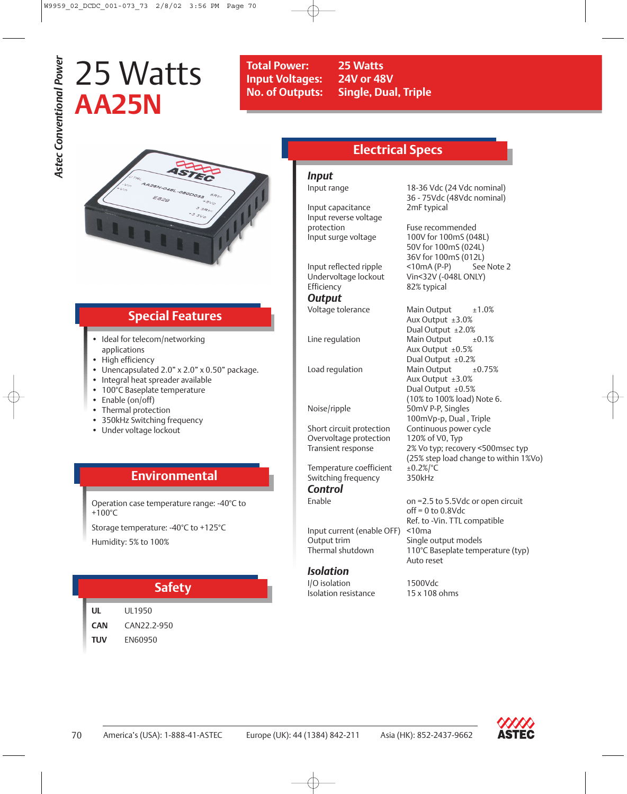# 25 Watts **AA25N**

**Total Power: 25 Watts Input Voltages: 24V or 48V**

**No. of Outputs: Single, Dual, Triple**



# **Special Features**

- Ideal for telecom/networking applications
- High efficiency
- Unencapsulated 2.0" x 2.0" x 0.50" package.
- Integral heat spreader available
- 100°C Baseplate temperature
- Enable (on/off)
- Thermal protection
- 350kHz Switching frequency
- Under voltage lockout

# **Environmental**

Operation case temperature range: -40°C to +100°C

Storage temperature: -40°C to +125°C Humidity: 5% to 100%

## **Safety**

**UL** UL1950 **CAN** CAN22.2-950 **TUV** EN60950

# **Electrical Specs**

*Input*

Input capacitance 2mF typical Input reverse voltage protection Fuse recommended<br>Input surge voltage 100V for 100mS (04

Input reflected ripple Undervoltage lockout Vin<32V (-048L ONLY) Efficiency 82% typical *Output*

Short circuit protection Continuous power cycle Overvoltage protection 120% of V0, Typ<br>Transient response 2% Vo typ; recov

Temperature coefficient  $\pm 0.2\%$  °C Switching frequency 350kHz *Control*

Input current (enable OFF) <10ma Output trim Single output models<br>Thermal shutdown 110°C Baseplate temp

## *Isolation*

I/O isolation 1500Vdc Isolation resistance 15 x 108 ohms

Input range 18-36 Vdc (24 Vdc nominal) 36 - 75Vdc (48Vdc nominal)

> 100V for 100mS (048L) 50V for 100mS (024L) 36V for 100mS (012L)

Voltage tolerance Main Output ±1.0% Aux Output ±3.0% Dual Output ±2.0% Line regulation Main Output  $\pm 0.1\%$ Aux Output  $±0.5%$ Dual Output ±0.2% Load regulation Main Output  $\pm 0.75\%$ Aux Output ±3.0% Dual Output ±0.5% (10% to 100% load) Note 6. Noise/ripple 50mV P-P, Singles 100mVp-p, Dual , Triple 2% Vo typ; recovery <500msec typ (25% step load change to within 1%Vo)

Enable **Enable b** on =2.5 to 5.5Vdc or open circuit off = 0 to 0.8Vdc Ref. to -Vin. TTL compatible 110°C Baseplate temperature (typ) Auto reset